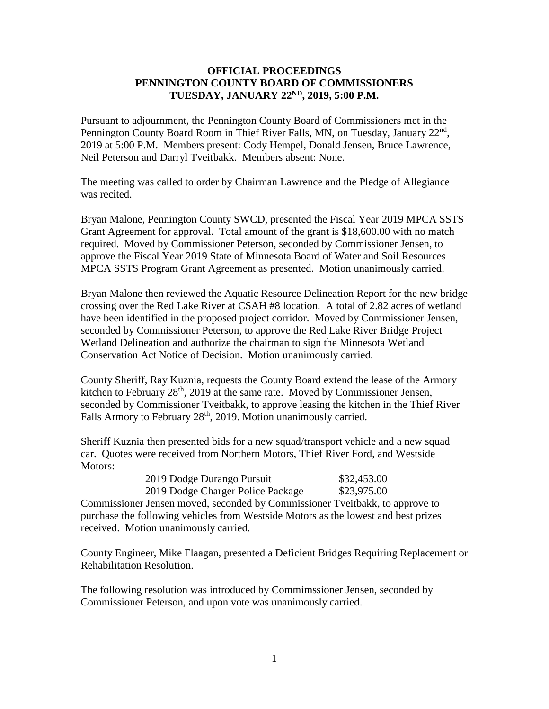## **OFFICIAL PROCEEDINGS PENNINGTON COUNTY BOARD OF COMMISSIONERS TUESDAY, JANUARY 22 ND, 2019, 5:00 P.M.**

Pursuant to adjournment, the Pennington County Board of Commissioners met in the Pennington County Board Room in Thief River Falls, MN, on Tuesday, January 22<sup>nd</sup>, 2019 at 5:00 P.M. Members present: Cody Hempel, Donald Jensen, Bruce Lawrence, Neil Peterson and Darryl Tveitbakk. Members absent: None.

The meeting was called to order by Chairman Lawrence and the Pledge of Allegiance was recited.

Bryan Malone, Pennington County SWCD, presented the Fiscal Year 2019 MPCA SSTS Grant Agreement for approval. Total amount of the grant is \$18,600.00 with no match required. Moved by Commissioner Peterson, seconded by Commissioner Jensen, to approve the Fiscal Year 2019 State of Minnesota Board of Water and Soil Resources MPCA SSTS Program Grant Agreement as presented. Motion unanimously carried.

Bryan Malone then reviewed the Aquatic Resource Delineation Report for the new bridge crossing over the Red Lake River at CSAH #8 location. A total of 2.82 acres of wetland have been identified in the proposed project corridor. Moved by Commissioner Jensen, seconded by Commissioner Peterson, to approve the Red Lake River Bridge Project Wetland Delineation and authorize the chairman to sign the Minnesota Wetland Conservation Act Notice of Decision. Motion unanimously carried.

County Sheriff, Ray Kuznia, requests the County Board extend the lease of the Armory kitchen to February  $28<sup>th</sup>$ , 2019 at the same rate. Moved by Commissioner Jensen, seconded by Commissioner Tveitbakk, to approve leasing the kitchen in the Thief River Falls Armory to February 28<sup>th</sup>, 2019. Motion unanimously carried.

Sheriff Kuznia then presented bids for a new squad/transport vehicle and a new squad car. Quotes were received from Northern Motors, Thief River Ford, and Westside Motors:

| 2019 Dodge Durango Pursuit        | \$32,453.00 |
|-----------------------------------|-------------|
| 2019 Dodge Charger Police Package | \$23,975.00 |

Commissioner Jensen moved, seconded by Commissioner Tveitbakk, to approve to purchase the following vehicles from Westside Motors as the lowest and best prizes received. Motion unanimously carried.

County Engineer, Mike Flaagan, presented a Deficient Bridges Requiring Replacement or Rehabilitation Resolution.

The following resolution was introduced by Commimssioner Jensen, seconded by Commissioner Peterson, and upon vote was unanimously carried.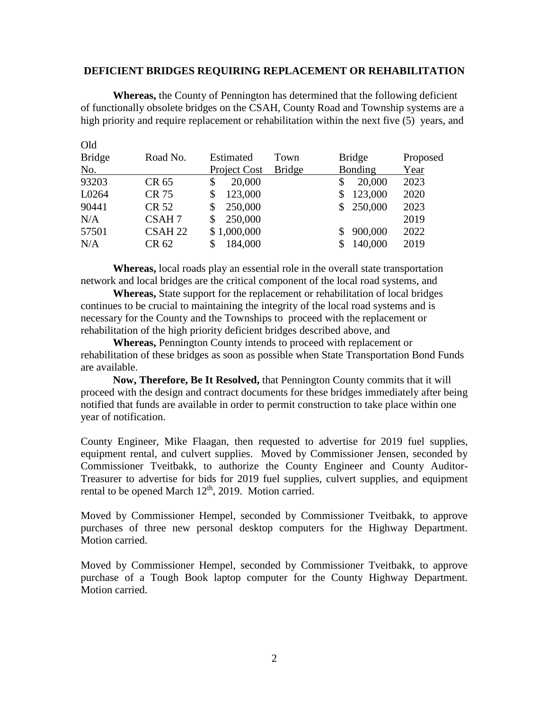#### **DEFICIENT BRIDGES REQUIRING REPLACEMENT OR REHABILITATION**

**Whereas,** the County of Pennington has determined that the following deficient of functionally obsolete bridges on the CSAH, County Road and Township systems are a high priority and require replacement or rehabilitation within the next five (5) years, and

| $\sim$        |                    |              |               |               |          |
|---------------|--------------------|--------------|---------------|---------------|----------|
| <b>Bridge</b> | Road No.           | Estimated    | Town          | <b>Bridge</b> | Proposed |
| No.           |                    | Project Cost | <b>Bridge</b> | Bonding       | Year     |
| 93203         | CR 65              | 20,000<br>S  |               | 20,000<br>S   | 2023     |
| L0264         | CR 75              | 123,000      |               | 123,000       | 2020     |
| 90441         | CR 52              | 250,000<br>S |               | \$250,000     | 2023     |
| N/A           | CSAH <sub>7</sub>  | 250,000<br>S |               |               | 2019     |
| 57501         | CSAH <sub>22</sub> | \$1,000,000  |               | 900,000<br>S  | 2022     |
| N/A           | CR 62              | 184,000      |               | 140,000       | 2019     |
|               |                    |              |               |               |          |

Old

**Whereas,** local roads play an essential role in the overall state transportation network and local bridges are the critical component of the local road systems, and

**Whereas,** State support for the replacement or rehabilitation of local bridges continues to be crucial to maintaining the integrity of the local road systems and is necessary for the County and the Townships to proceed with the replacement or rehabilitation of the high priority deficient bridges described above, and

**Whereas,** Pennington County intends to proceed with replacement or rehabilitation of these bridges as soon as possible when State Transportation Bond Funds are available.

**Now, Therefore, Be It Resolved,** that Pennington County commits that it will proceed with the design and contract documents for these bridges immediately after being notified that funds are available in order to permit construction to take place within one year of notification.

County Engineer, Mike Flaagan, then requested to advertise for 2019 fuel supplies, equipment rental, and culvert supplies. Moved by Commissioner Jensen, seconded by Commissioner Tveitbakk, to authorize the County Engineer and County Auditor-Treasurer to advertise for bids for 2019 fuel supplies, culvert supplies, and equipment rental to be opened March 12<sup>th</sup>, 2019. Motion carried.

Moved by Commissioner Hempel, seconded by Commissioner Tveitbakk, to approve purchases of three new personal desktop computers for the Highway Department. Motion carried.

Moved by Commissioner Hempel, seconded by Commissioner Tveitbakk, to approve purchase of a Tough Book laptop computer for the County Highway Department. Motion carried.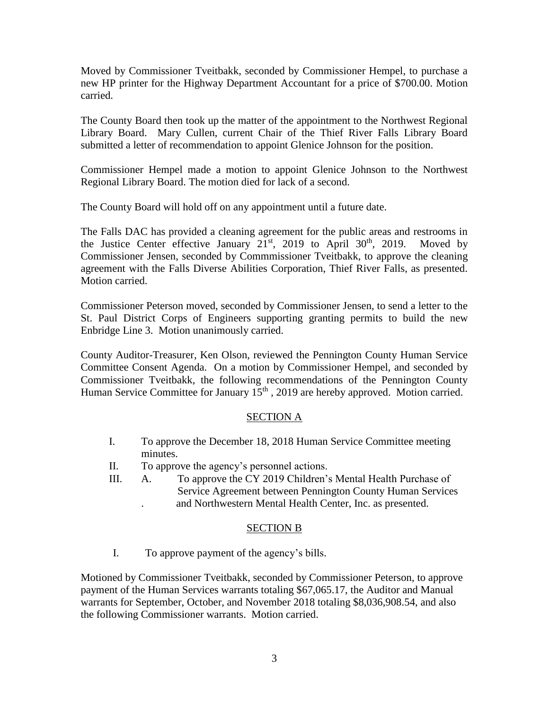Moved by Commissioner Tveitbakk, seconded by Commissioner Hempel, to purchase a new HP printer for the Highway Department Accountant for a price of \$700.00. Motion carried.

The County Board then took up the matter of the appointment to the Northwest Regional Library Board. Mary Cullen, current Chair of the Thief River Falls Library Board submitted a letter of recommendation to appoint Glenice Johnson for the position.

Commissioner Hempel made a motion to appoint Glenice Johnson to the Northwest Regional Library Board. The motion died for lack of a second.

The County Board will hold off on any appointment until a future date.

The Falls DAC has provided a cleaning agreement for the public areas and restrooms in the Justice Center effective January  $21^{st}$ , 2019 to April 30<sup>th</sup>, 2019. Moved by Commissioner Jensen, seconded by Commmissioner Tveitbakk, to approve the cleaning agreement with the Falls Diverse Abilities Corporation, Thief River Falls, as presented. Motion carried.

Commissioner Peterson moved, seconded by Commissioner Jensen, to send a letter to the St. Paul District Corps of Engineers supporting granting permits to build the new Enbridge Line 3. Motion unanimously carried.

County Auditor-Treasurer, Ken Olson, reviewed the Pennington County Human Service Committee Consent Agenda. On a motion by Commissioner Hempel, and seconded by Commissioner Tveitbakk, the following recommendations of the Pennington County Human Service Committee for January 15<sup>th</sup>, 2019 are hereby approved. Motion carried.

# SECTION A

- I. To approve the December 18, 2018 Human Service Committee meeting minutes.
- II. To approve the agency's personnel actions.
- III. A. To approve the CY 2019 Children's Mental Health Purchase of Service Agreement between Pennington County Human Services . and Northwestern Mental Health Center, Inc. as presented.

## SECTION B

I. To approve payment of the agency's bills.

Motioned by Commissioner Tveitbakk, seconded by Commissioner Peterson, to approve payment of the Human Services warrants totaling \$67,065.17, the Auditor and Manual warrants for September, October, and November 2018 totaling \$8,036,908.54, and also the following Commissioner warrants. Motion carried.